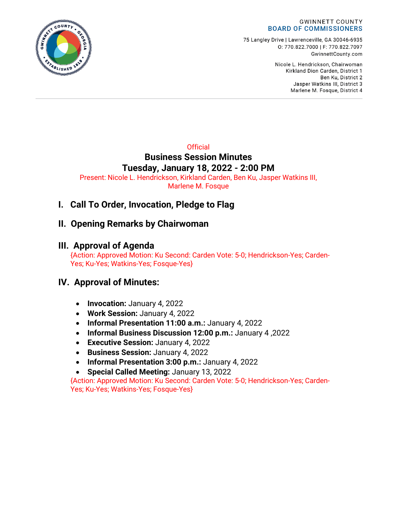

75 Langley Drive | Lawrenceville, GA 30046-6935 0:770.822.7000 | F: 770.822.7097 GwinnettCounty.com

> Nicole L. Hendrickson, Chairwoman Kirkland Dion Carden, District 1 Ben Ku. District 2 Jasper Watkins III, District 3 Marlene M. Fosque, District 4

### **Official Business Session Minutes Tuesday, January 18, 2022 - 2:00 PM**

Present: Nicole L. Hendrickson, Kirkland Carden, Ben Ku, Jasper Watkins III, Marlene M. Fosque

# **I. Call To Order, Invocation, Pledge to Flag**

# **II. Opening Remarks by Chairwoman**

## **III. Approval of Agenda**

{Action: Approved Motion: Ku Second: Carden Vote: 5-0; Hendrickson-Yes; Carden-Yes; Ku-Yes; Watkins-Yes; Fosque-Yes}

# **IV. Approval of Minutes:**

- **Invocation:** January 4, 2022
- **Work Session:** January 4, 2022
- **Informal Presentation 11:00 a.m.:** January 4, 2022
- **Informal Business Discussion 12:00 p.m.:** January 4 ,2022
- **Executive Session:** January 4, 2022
- **Business Session:** January 4, 2022
- **Informal Presentation 3:00 p.m.:** January 4, 2022
- **Special Called Meeting:** January 13, 2022

{Action: Approved Motion: Ku Second: Carden Vote: 5-0; Hendrickson-Yes; Carden-Yes; Ku-Yes; Watkins-Yes; Fosque-Yes}

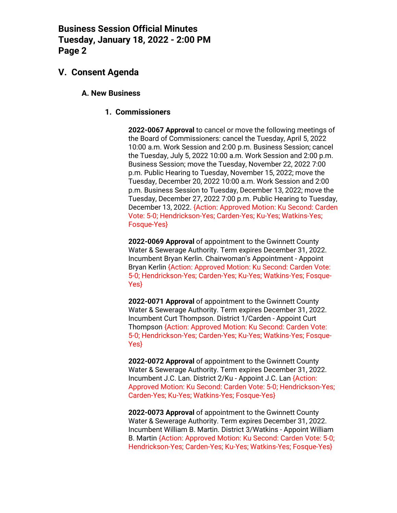## **V. Consent Agenda**

#### **A. New Business**

#### **1. Commissioners**

**2022-0067 Approval** to cancel or move the following meetings of the Board of Commissioners: cancel the Tuesday, April 5, 2022 10:00 a.m. Work Session and 2:00 p.m. Business Session; cancel the Tuesday, July 5, 2022 10:00 a.m. Work Session and 2:00 p.m. Business Session; move the Tuesday, November 22, 2022 7:00 p.m. Public Hearing to Tuesday, November 15, 2022; move the Tuesday, December 20, 2022 10:00 a.m. Work Session and 2:00 p.m. Business Session to Tuesday, December 13, 2022; move the Tuesday, December 27, 2022 7:00 p.m. Public Hearing to Tuesday, December 13, 2022. {Action: Approved Motion: Ku Second: Carden Vote: 5-0; Hendrickson-Yes; Carden-Yes; Ku-Yes; Watkins-Yes; Fosque-Yes}

**2022-0069 Approval** of appointment to the Gwinnett County Water & Sewerage Authority. Term expires December 31, 2022. Incumbent Bryan Kerlin. Chairwoman's Appointment - Appoint Bryan Kerlin {Action: Approved Motion: Ku Second: Carden Vote: 5-0; Hendrickson-Yes; Carden-Yes; Ku-Yes; Watkins-Yes; Fosque-Yes}

**2022-0071 Approval** of appointment to the Gwinnett County Water & Sewerage Authority. Term expires December 31, 2022. Incumbent Curt Thompson. District 1/Carden - Appoint Curt Thompson {Action: Approved Motion: Ku Second: Carden Vote: 5-0; Hendrickson-Yes; Carden-Yes; Ku-Yes; Watkins-Yes; Fosque-Yes}

**2022-0072 Approval** of appointment to the Gwinnett County Water & Sewerage Authority. Term expires December 31, 2022. Incumbent J.C. Lan. District 2/Ku - Appoint J.C. Lan {Action: Approved Motion: Ku Second: Carden Vote: 5-0; Hendrickson-Yes; Carden-Yes; Ku-Yes; Watkins-Yes; Fosque-Yes}

**2022-0073 Approval** of appointment to the Gwinnett County Water & Sewerage Authority. Term expires December 31, 2022. Incumbent William B. Martin. District 3/Watkins - Appoint William B. Martin {Action: Approved Motion: Ku Second: Carden Vote: 5-0; Hendrickson-Yes; Carden-Yes; Ku-Yes; Watkins-Yes; Fosque-Yes}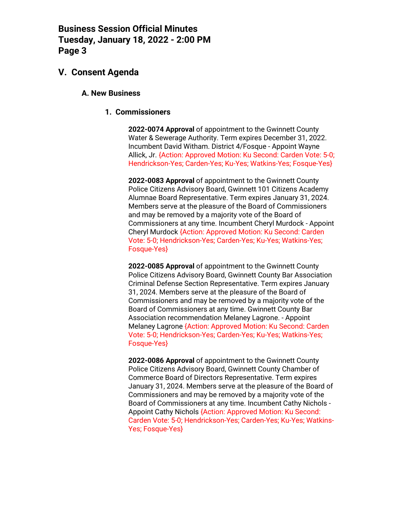### **V. Consent Agenda**

#### **A. New Business**

#### **1. Commissioners**

**2022-0074 Approval** of appointment to the Gwinnett County Water & Sewerage Authority. Term expires December 31, 2022. Incumbent David Witham. District 4/Fosque - Appoint Wayne Allick, Jr. {Action: Approved Motion: Ku Second: Carden Vote: 5-0; Hendrickson-Yes; Carden-Yes; Ku-Yes; Watkins-Yes; Fosque-Yes}

**2022-0083 Approval** of appointment to the Gwinnett County Police Citizens Advisory Board, Gwinnett 101 Citizens Academy Alumnae Board Representative. Term expires January 31, 2024. Members serve at the pleasure of the Board of Commissioners and may be removed by a majority vote of the Board of Commissioners at any time. Incumbent Cheryl Murdock - Appoint Cheryl Murdock {Action: Approved Motion: Ku Second: Carden Vote: 5-0; Hendrickson-Yes; Carden-Yes; Ku-Yes; Watkins-Yes; Fosque-Yes}

**2022-0085 Approval** of appointment to the Gwinnett County Police Citizens Advisory Board, Gwinnett County Bar Association Criminal Defense Section Representative. Term expires January 31, 2024. Members serve at the pleasure of the Board of Commissioners and may be removed by a majority vote of the Board of Commissioners at any time. Gwinnett County Bar Association recommendation Melaney Lagrone. - Appoint Melaney Lagrone {Action: Approved Motion: Ku Second: Carden Vote: 5-0; Hendrickson-Yes; Carden-Yes; Ku-Yes; Watkins-Yes; Fosque-Yes}

**2022-0086 Approval** of appointment to the Gwinnett County Police Citizens Advisory Board, Gwinnett County Chamber of Commerce Board of Directors Representative. Term expires January 31, 2024. Members serve at the pleasure of the Board of Commissioners and may be removed by a majority vote of the Board of Commissioners at any time. Incumbent Cathy Nichols - Appoint Cathy Nichols {Action: Approved Motion: Ku Second: Carden Vote: 5-0; Hendrickson-Yes; Carden-Yes; Ku-Yes; Watkins-Yes; Fosque-Yes}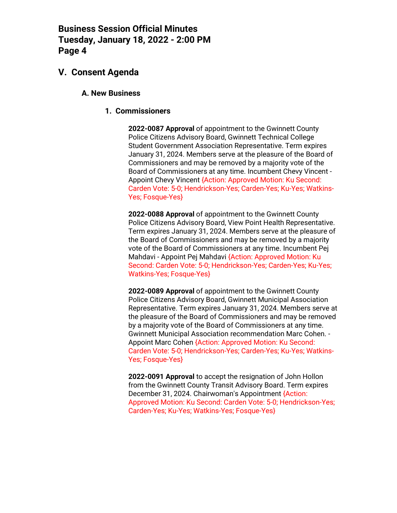### **V. Consent Agenda**

#### **A. New Business**

#### **1. Commissioners**

**2022-0087 Approval** of appointment to the Gwinnett County Police Citizens Advisory Board, Gwinnett Technical College Student Government Association Representative. Term expires January 31, 2024. Members serve at the pleasure of the Board of Commissioners and may be removed by a majority vote of the Board of Commissioners at any time. Incumbent Chevy Vincent - Appoint Chevy Vincent {Action: Approved Motion: Ku Second: Carden Vote: 5-0; Hendrickson-Yes; Carden-Yes; Ku-Yes; Watkins-Yes; Fosque-Yes}

**2022-0088 Approval** of appointment to the Gwinnett County Police Citizens Advisory Board, View Point Health Representative. Term expires January 31, 2024. Members serve at the pleasure of the Board of Commissioners and may be removed by a majority vote of the Board of Commissioners at any time. Incumbent Pej Mahdavi - Appoint Pej Mahdavi {Action: Approved Motion: Ku Second: Carden Vote: 5-0; Hendrickson-Yes; Carden-Yes; Ku-Yes; Watkins-Yes; Fosque-Yes}

**2022-0089 Approval** of appointment to the Gwinnett County Police Citizens Advisory Board, Gwinnett Municipal Association Representative. Term expires January 31, 2024. Members serve at the pleasure of the Board of Commissioners and may be removed by a majority vote of the Board of Commissioners at any time. Gwinnett Municipal Association recommendation Marc Cohen. - Appoint Marc Cohen {Action: Approved Motion: Ku Second: Carden Vote: 5-0; Hendrickson-Yes; Carden-Yes; Ku-Yes; Watkins-Yes; Fosque-Yes}

**2022-0091 Approval** to accept the resignation of John Hollon from the Gwinnett County Transit Advisory Board. Term expires December 31, 2024. Chairwoman's Appointment {Action: Approved Motion: Ku Second: Carden Vote: 5-0; Hendrickson-Yes; Carden-Yes; Ku-Yes; Watkins-Yes; Fosque-Yes}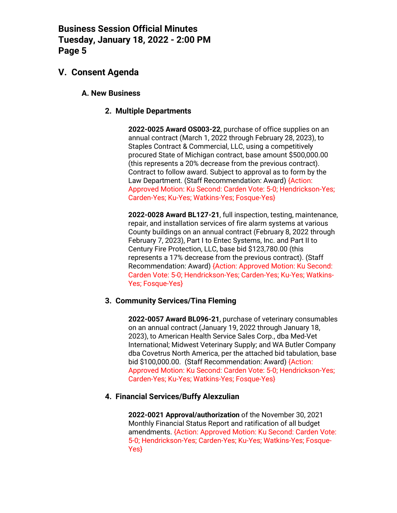## **V. Consent Agenda**

#### **A. New Business**

#### **2. Multiple Departments**

**2022-0025 Award OS003-22**, purchase of office supplies on an annual contract (March 1, 2022 through February 28, 2023), to Staples Contract & Commercial, LLC, using a competitively procured State of Michigan contract, base amount \$500,000.00 (this represents a 20% decrease from the previous contract). Contract to follow award. Subject to approval as to form by the Law Department. (Staff Recommendation: Award) {Action: Approved Motion: Ku Second: Carden Vote: 5-0; Hendrickson-Yes; Carden-Yes; Ku-Yes; Watkins-Yes; Fosque-Yes}

**2022-0028 Award BL127-21**, full inspection, testing, maintenance, repair, and installation services of fire alarm systems at various County buildings on an annual contract (February 8, 2022 through February 7, 2023), Part I to Entec Systems, Inc. and Part II to Century Fire Protection, LLC, base bid \$123,780.00 (this represents a 17% decrease from the previous contract). (Staff Recommendation: Award) {Action: Approved Motion: Ku Second: Carden Vote: 5-0; Hendrickson-Yes; Carden-Yes; Ku-Yes; Watkins-Yes; Fosque-Yes}

#### **3. Community Services/Tina Fleming**

**2022-0057 Award BL096-21**, purchase of veterinary consumables on an annual contract (January 19, 2022 through January 18, 2023), to American Health Service Sales Corp., dba Med-Vet International; Midwest Veterinary Supply; and WA Butler Company dba Covetrus North America, per the attached bid tabulation, base bid \$100,000.00. (Staff Recommendation: Award) {Action: Approved Motion: Ku Second: Carden Vote: 5-0; Hendrickson-Yes; Carden-Yes; Ku-Yes; Watkins-Yes; Fosque-Yes}

#### **4. Financial Services/Buffy Alexzulian**

**2022-0021 Approval/authorization** of the November 30, 2021 Monthly Financial Status Report and ratification of all budget amendments. {Action: Approved Motion: Ku Second: Carden Vote: 5-0; Hendrickson-Yes; Carden-Yes; Ku-Yes; Watkins-Yes; Fosque-Yes}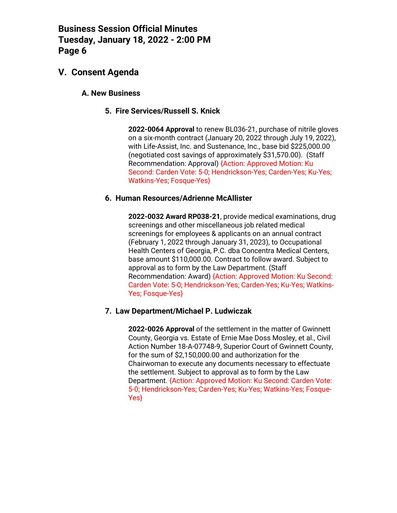### **V. Consent Agenda**

#### **A. New Business**

#### **5. Fire Services/Russell S. Knick**

**2022-0064 Approval** to renew BL036-21, purchase of nitrile gloves on a six-month contract (January 20, 2022 through July 19, 2022), with Life-Assist, Inc. and Sustenance, Inc., base bid \$225,000.00 (negotiated cost savings of approximately \$31,570.00). (Staff Recommendation: Approval) {Action: Approved Motion: Ku Second: Carden Vote: 5-0; Hendrickson-Yes; Carden-Yes; Ku-Yes; Watkins-Yes; Fosque-Yes}

#### **6. Human Resources/Adrienne McAllister**

**2022-0032 Award RP038-21**, provide medical examinations, drug screenings and other miscellaneous job related medical screenings for employees & applicants on an annual contract (February 1, 2022 through January 31, 2023), to Occupational Health Centers of Georgia, P.C. dba Concentra Medical Centers, base amount \$110,000.00. Contract to follow award. Subject to approval as to form by the Law Department. (Staff Recommendation: Award) {Action: Approved Motion: Ku Second: Carden Vote: 5-0; Hendrickson-Yes; Carden-Yes; Ku-Yes; Watkins-Yes; Fosque-Yes}

#### **7. Law Department/Michael P. Ludwiczak**

**2022-0026 Approval** of the settlement in the matter of Gwinnett County, Georgia vs. Estate of Ernie Mae Doss Mosley, et al., Civil Action Number 18-A-07748-9, Superior Court of Gwinnett County, for the sum of \$2,150,000.00 and authorization for the Chairwoman to execute any documents necessary to effectuate the settlement. Subject to approval as to form by the Law Department. {Action: Approved Motion: Ku Second: Carden Vote: 5-0; Hendrickson-Yes; Carden-Yes; Ku-Yes; Watkins-Yes; Fosque-Yes}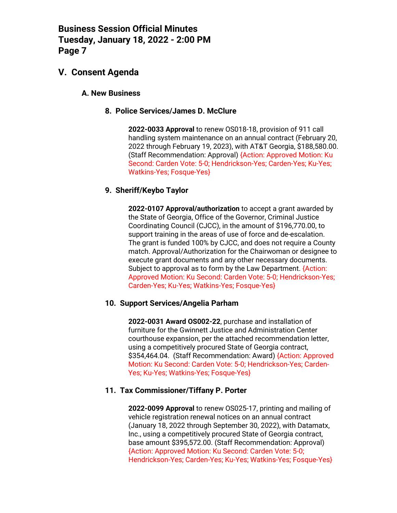### **V. Consent Agenda**

#### **A. New Business**

#### **8. Police Services/James D. McClure**

**2022-0033 Approval** to renew OS018-18, provision of 911 call handling system maintenance on an annual contract (February 20, 2022 through February 19, 2023), with AT&T Georgia, \$188,580.00. (Staff Recommendation: Approval) {Action: Approved Motion: Ku Second: Carden Vote: 5-0; Hendrickson-Yes; Carden-Yes; Ku-Yes; Watkins-Yes; Fosque-Yes}

#### **9. Sheriff/Keybo Taylor**

**2022-0107 Approval/authorization** to accept a grant awarded by the State of Georgia, Office of the Governor, Criminal Justice Coordinating Council (CJCC), in the amount of \$196,770.00, to support training in the areas of use of force and de-escalation. The grant is funded 100% by CJCC, and does not require a County match. Approval/Authorization for the Chairwoman or designee to execute grant documents and any other necessary documents. Subject to approval as to form by the Law Department. {Action: Approved Motion: Ku Second: Carden Vote: 5-0; Hendrickson-Yes; Carden-Yes; Ku-Yes; Watkins-Yes; Fosque-Yes}

#### **10. Support Services/Angelia Parham**

**2022-0031 Award OS002-22**, purchase and installation of furniture for the Gwinnett Justice and Administration Center courthouse expansion, per the attached recommendation letter, using a competitively procured State of Georgia contract, \$354,464.04. (Staff Recommendation: Award) {Action: Approved Motion: Ku Second: Carden Vote: 5-0; Hendrickson-Yes; Carden-Yes; Ku-Yes; Watkins-Yes; Fosque-Yes}

#### **11. Tax Commissioner/Tiffany P. Porter**

**2022-0099 Approval** to renew OS025-17, printing and mailing of vehicle registration renewal notices on an annual contract (January 18, 2022 through September 30, 2022), with Datamatx, Inc., using a competitively procured State of Georgia contract, base amount \$395,572.00. (Staff Recommendation: Approval) {Action: Approved Motion: Ku Second: Carden Vote: 5-0; Hendrickson-Yes; Carden-Yes; Ku-Yes; Watkins-Yes; Fosque-Yes}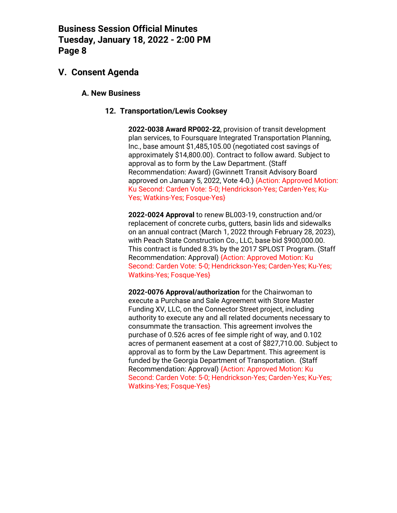## **V. Consent Agenda**

#### **A. New Business**

#### **12. Transportation/Lewis Cooksey**

**2022-0038 Award RP002-22**, provision of transit development plan services, to Foursquare Integrated Transportation Planning, Inc., base amount \$1,485,105.00 (negotiated cost savings of approximately \$14,800.00). Contract to follow award. Subject to approval as to form by the Law Department. (Staff Recommendation: Award) (Gwinnett Transit Advisory Board approved on January 5, 2022, Vote 4-0.) {Action: Approved Motion: Ku Second: Carden Vote: 5-0; Hendrickson-Yes; Carden-Yes; Ku-Yes; Watkins-Yes; Fosque-Yes}

**2022-0024 Approval** to renew BL003-19, construction and/or replacement of concrete curbs, gutters, basin lids and sidewalks on an annual contract (March 1, 2022 through February 28, 2023), with Peach State Construction Co., LLC, base bid \$900,000.00. This contract is funded 8.3% by the 2017 SPLOST Program. (Staff Recommendation: Approval) {Action: Approved Motion: Ku Second: Carden Vote: 5-0; Hendrickson-Yes; Carden-Yes; Ku-Yes; Watkins-Yes; Fosque-Yes}

**2022-0076 Approval/authorization** for the Chairwoman to execute a Purchase and Sale Agreement with Store Master Funding XV, LLC, on the Connector Street project, including authority to execute any and all related documents necessary to consummate the transaction. This agreement involves the purchase of 0.526 acres of fee simple right of way, and 0.102 acres of permanent easement at a cost of \$827,710.00. Subject to approval as to form by the Law Department. This agreement is funded by the Georgia Department of Transportation. (Staff Recommendation: Approval) {Action: Approved Motion: Ku Second: Carden Vote: 5-0; Hendrickson-Yes; Carden-Yes; Ku-Yes; Watkins-Yes; Fosque-Yes}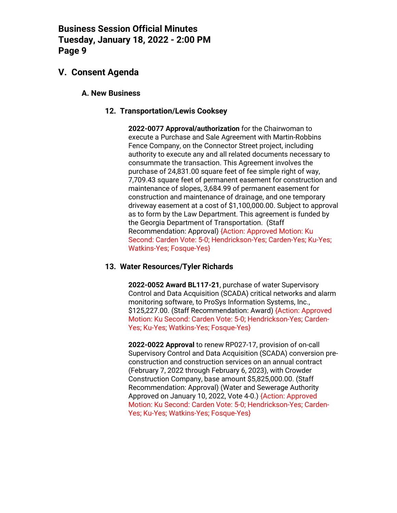## **V. Consent Agenda**

#### **A. New Business**

#### **12. Transportation/Lewis Cooksey**

**2022-0077 Approval/authorization** for the Chairwoman to execute a Purchase and Sale Agreement with Martin-Robbins Fence Company, on the Connector Street project, including authority to execute any and all related documents necessary to consummate the transaction. This Agreement involves the purchase of 24,831.00 square feet of fee simple right of way, 7,709.43 square feet of permanent easement for construction and maintenance of slopes, 3,684.99 of permanent easement for construction and maintenance of drainage, and one temporary driveway easement at a cost of \$1,100,000.00. Subject to approval as to form by the Law Department. This agreement is funded by the Georgia Department of Transportation. (Staff Recommendation: Approval) {Action: Approved Motion: Ku Second: Carden Vote: 5-0; Hendrickson-Yes; Carden-Yes; Ku-Yes; Watkins-Yes; Fosque-Yes}

#### **13. Water Resources/Tyler Richards**

**2022-0052 Award BL117-21**, purchase of water Supervisory Control and Data Acquisition (SCADA) critical networks and alarm monitoring software, to ProSys Information Systems, Inc., \$125,227.00. (Staff Recommendation: Award) {Action: Approved Motion: Ku Second: Carden Vote: 5-0; Hendrickson-Yes; Carden-Yes; Ku-Yes; Watkins-Yes; Fosque-Yes}

**2022-0022 Approval** to renew RP027-17, provision of on-call Supervisory Control and Data Acquisition (SCADA) conversion preconstruction and construction services on an annual contract (February 7, 2022 through February 6, 2023), with Crowder Construction Company, base amount \$5,825,000.00. (Staff Recommendation: Approval) (Water and Sewerage Authority Approved on January 10, 2022, Vote 4-0.) {Action: Approved Motion: Ku Second: Carden Vote: 5-0; Hendrickson-Yes; Carden-Yes; Ku-Yes; Watkins-Yes; Fosque-Yes}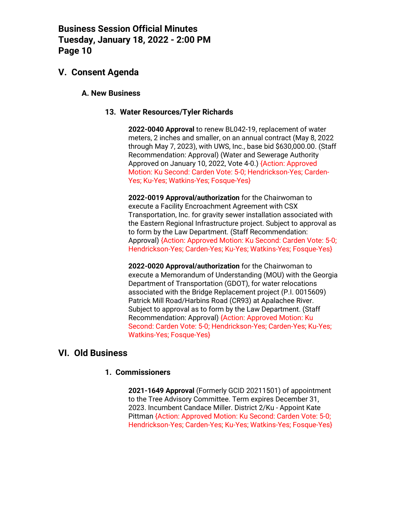### **V. Consent Agenda**

#### **A. New Business**

#### **13. Water Resources/Tyler Richards**

**2022-0040 Approval** to renew BL042-19, replacement of water meters, 2 inches and smaller, on an annual contract (May 8, 2022 through May 7, 2023), with UWS, Inc., base bid \$630,000.00. (Staff Recommendation: Approval) (Water and Sewerage Authority Approved on January 10, 2022, Vote 4-0.) {Action: Approved Motion: Ku Second: Carden Vote: 5-0; Hendrickson-Yes; Carden-Yes; Ku-Yes; Watkins-Yes; Fosque-Yes}

**2022-0019 Approval/authorization** for the Chairwoman to execute a Facility Encroachment Agreement with CSX Transportation, Inc. for gravity sewer installation associated with the Eastern Regional Infrastructure project. Subject to approval as to form by the Law Department. (Staff Recommendation: Approval) {Action: Approved Motion: Ku Second: Carden Vote: 5-0; Hendrickson-Yes; Carden-Yes; Ku-Yes; Watkins-Yes; Fosque-Yes}

**2022-0020 Approval/authorization** for the Chairwoman to execute a Memorandum of Understanding (MOU) with the Georgia Department of Transportation (GDOT), for water relocations associated with the Bridge Replacement project (P.I. 0015609) Patrick Mill Road/Harbins Road (CR93) at Apalachee River. Subject to approval as to form by the Law Department. (Staff Recommendation: Approval) {Action: Approved Motion: Ku Second: Carden Vote: 5-0; Hendrickson-Yes; Carden-Yes; Ku-Yes; Watkins-Yes; Fosque-Yes}

### **VI. Old Business**

#### **1. Commissioners**

**2021-1649 Approval** (Formerly GCID 20211501) of appointment to the Tree Advisory Committee. Term expires December 31, 2023. Incumbent Candace Miller. District 2/Ku - Appoint Kate Pittman {Action: Approved Motion: Ku Second: Carden Vote: 5-0; Hendrickson-Yes; Carden-Yes; Ku-Yes; Watkins-Yes; Fosque-Yes}